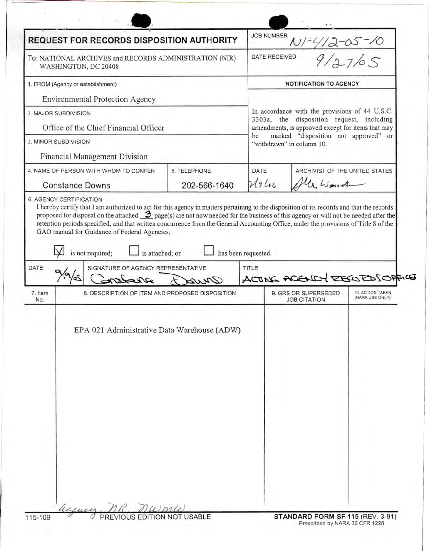| <b>REQUEST FOR RECORDS DISPOSITION AUTHORITY</b>                               |                                                                           |                                        | <b>JOB NUMBER</b>                                                                                                                                |                                                                          |                                     |  |
|--------------------------------------------------------------------------------|---------------------------------------------------------------------------|----------------------------------------|--------------------------------------------------------------------------------------------------------------------------------------------------|--------------------------------------------------------------------------|-------------------------------------|--|
| To: NATIONAL ARCHIVES and RECORDS ADMINISTRATION (NIR)<br>WASHINGTON, DC 20408 |                                                                           |                                        | 9/27/65<br>DATE RECEIVED                                                                                                                         |                                                                          |                                     |  |
| 1. FROM (Agency or establishment)                                              |                                                                           |                                        | <b>NOTIFICATION TO AGENCY</b>                                                                                                                    |                                                                          |                                     |  |
|                                                                                | Environmental Protection Agency                                           |                                        |                                                                                                                                                  |                                                                          |                                     |  |
| 2. MAJOR SUBDIVISION                                                           |                                                                           |                                        | In accordance with the provisions of 44 U.S.C.<br>3303a, the disposition request, including<br>amendments, is approved except for items that may |                                                                          |                                     |  |
| Office of the Chief Financial Officer                                          |                                                                           |                                        |                                                                                                                                                  |                                                                          |                                     |  |
| 3. MINOR SUBDIVISION                                                           |                                                                           |                                        |                                                                                                                                                  | marked "disposition not approved" or<br>be<br>"withdrawn" in column 10.  |                                     |  |
|                                                                                | Financial Management Division                                             |                                        |                                                                                                                                                  |                                                                          |                                     |  |
| 4. NAME OF PERSON WITH WHOM TO CONFER<br>5. TELEPHONE                          |                                                                           | DATE<br>ARCHIVIST OF THE UNITED STATES |                                                                                                                                                  |                                                                          |                                     |  |
| <b>Constance Downs</b>                                                         |                                                                           | 202-566-1640                           | 24946                                                                                                                                            | 4 Weist                                                                  |                                     |  |
|                                                                                | is not required;<br>is attached; or<br>SIGNATURE OF AGENCY REPRESENTATIVE |                                        | has been requested.<br>TITLE                                                                                                                     |                                                                          |                                     |  |
| DATE<br>7. Item<br>No.                                                         | Dearce<br>8. DESCRIPTION OF ITEM AND PROPOSED DISPOSITION                 | arva                                   |                                                                                                                                                  | ACTING ACENCY DESCRIPTION<br>9. GRS OR SUPERSEDED<br><b>JOB CITATION</b> | 10. ACTION TAKEN<br>(NARA USE ONLY) |  |
|                                                                                | EPA 021 Administrative Data Warehouse (ADW)                               |                                        |                                                                                                                                                  |                                                                          |                                     |  |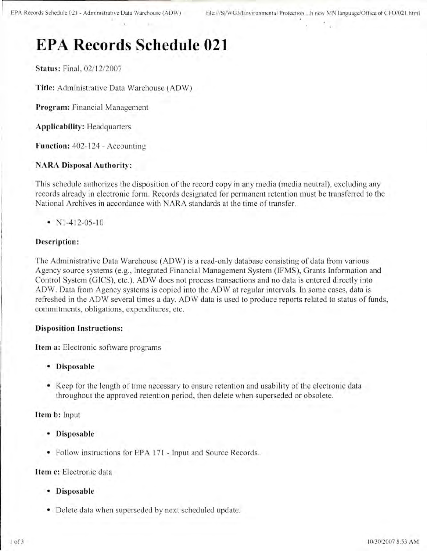# **EPA Records Schedule 021**

**Status: Final, 02/12/2007** 

Title: Administrative Data Warehouse (ADW)

**Program:** Financial Management

**Applicability :** Headquarters

**Function:** 402-124- Accounting

## **NARA Disposal Authority:**

This schedule authorizes the disposition of the record copy in any media (media neutral), excluding any records already in electronic form. Records designated for permanent retention must be transferred to the National Archives in accordance with NARA standards at the time of transfer.

•  $N1-412-05-10$ 

## **Description:**

The Administrative Data Warehouse (ADW) is a read-only database consisting of data from various Agency source systems (e.g., Integrated Financial Management System (IFMS), Grants Information and Control System (GICS), etc.). ADW does not process transactions and no data is entered directly into ADW. Data from Agency systems is copied into the ADW at regular intervals. In some cases, data is refreshed in the ADW several times a day. ADW data is used to produce reports related to status of funds, commitments, obligations, expenditures, etc.

## **Disposition Instructions:**

**Item a:** Electronic software programs

- **Disposable**
- Keep for the length of time necessary to ensure retention and usability of the electronic data throughout the approved retention period, then delete when superseded or obsolete.

## **Item b:** Input

- **Disposable**
- Follow instructions for EPA 171 Input and Source Records.

## **Item c:** Electronic data

- **Disposable**
- Delete data when superseded by next scheduled update.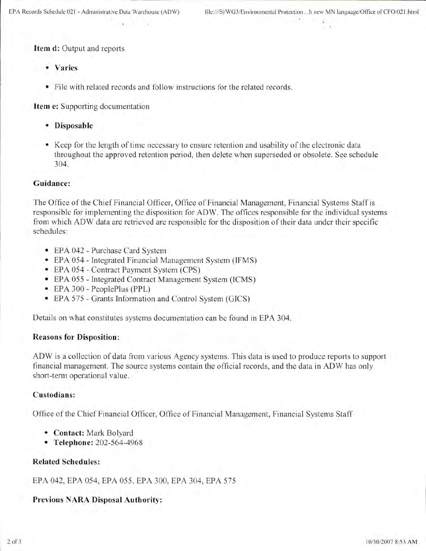**Item d:** Output and reports

- **Varies**
- File with related records and follow instructions for the related records.

**Item** e: Supporting documentation

- **Disposable**
- Keep for the length of time necessary to ensure retention and usability of the electronic data throughout the approved retention period, then delete when superseded or obsolete. See schedule 304.

#### **Guidance:**

The Office of the Chief Financial Officer, Office of Financial Management, Financial Systems Staff is responsible for implementing the disposition for ADW. The offices responsible for the individual systems from which ADW data are retrieved are responsible for the disposition of their data under their specific schedules:

- EPA 042 Purchase Card System
- EPA 054 Integrated Financial Management System (IFMS)
- EPA 054 Contract Payment System (CPS)
- EPA 055 Integrated Contract Management System (ICMS)
- EPA 300 PeoplePlus (PPL)
- EPA 575 Grants Information and Control System (GICS)

Details on what constitutes systems documentation can be found in EPA 304.

#### **Reasons for Disposition:**

ADW is a collection of data from various Agency systems. This data is used to produce reports to support financial management. The source systems contain the official records, and the data in ADW has only short-term operational value.

### **Custodians:**

Office of the Chief Financial Officer, Office of Financial Management, Financial Systems Staff

- **Contact:** Mark Bolyard
- **Telephone:** 202-564-4968

#### **Related Schedules:**

EPA 042 , EPA 054, EPA 055 , EPA 300, EPA 304, EPA 575

#### **Previous NARA Disposal Authority:**